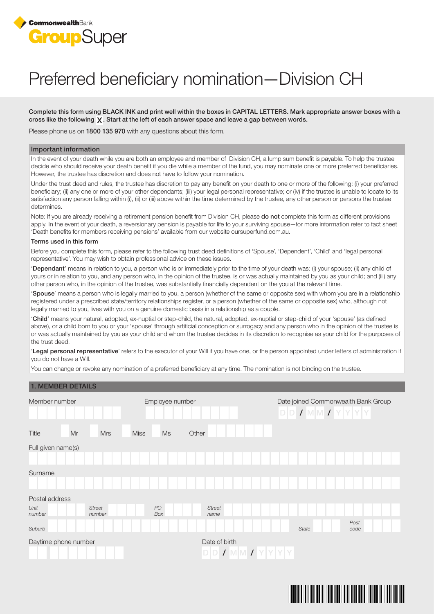

# Preferred beneficiary nomination—Division CH

Complete this form using BLACK INK and print well within the boxes in CAPITAL LETTERS. Mark appropriate answer boxes with a cross like the following  $\chi$ . Start at the left of each answer space and leave a gap between words.

Please phone us on 1800 135 970 with any questions about this form.

#### Important information

In the event of your death while you are both an employee and member of Division CH, a lump sum benefit is payable. To help the trustee decide who should receive your death benefit if you die while a member of the fund, you may nominate one or more preferred beneficiaries. However, the trustee has discretion and does not have to follow your nomination.

Under the trust deed and rules, the trustee has discretion to pay any benefit on your death to one or more of the following: (i) your preferred beneficiary; (ii) any one or more of your other dependants; (iii) your legal personal representative; or (iv) if the trustee is unable to locate to its satisfaction any person falling within (i), (ii) or (iii) above within the time determined by the trustee, any other person or persons the trustee determines.

Note: If you are already receiving a retirement pension benefit from Division CH, please **do not** complete this form as different provisions apply. In the event of your death, a reversionary pension is payable for life to your surviving spouse—for more information refer to fact sheet 'Death benefits for members receiving pensions' available from our website oursuperfund.com.au.

#### Terms used in this form

Before you complete this form, please refer to the following trust deed definitions of 'Spouse', 'Dependent', 'Child' and 'legal personal representative'. You may wish to obtain professional advice on these issues.

'Dependant' means in relation to you, a person who is or immediately prior to the time of your death was: (i) your spouse; (ii) any child of yours or in relation to you, and any person who, in the opinion of the trustee, is or was actually maintained by you as your child; and (iii) any other person who, in the opinion of the trustee, was substantially financially dependent on the you at the relevant time.

'Spouse' means a person who is legally married to you, a person (whether of the same or opposite sex) with whom you are in a relationship registered under a prescribed state/territory relationships register, or a person (whether of the same or opposite sex) who, although not legally married to you, lives with you on a genuine domestic basis in a relationship as a couple.

'Child' means your natural, adopted, ex-nuptial or step-child, the natural, adopted, ex-nuptial or step-child of your 'spouse' (as defined above), or a child born to you or your 'spouse' through artificial conception or surrogacy and any person who in the opinion of the trustee is or was actually maintained by you as your child and whom the trustee decides in its discretion to recognise as your child for the purposes of the trust deed.

'Legal personal representative' refers to the executor of your Will if you have one, or the person appointed under letters of administration if you do not have a Will.

You can change or revoke any nomination of a preferred beneficiary at any time. The nomination is not binding on the trustee.

### 1. MEMBER DETAILS

| Member number        |    |                         |             | Employee number |       |                                      |  | Date joined Commonwealth Bank Group<br>$D D I M M I Y Y Y Y$ |  |  |              |  |  |  |              |  |  |
|----------------------|----|-------------------------|-------------|-----------------|-------|--------------------------------------|--|--------------------------------------------------------------|--|--|--------------|--|--|--|--------------|--|--|
| Title                | Mr | <b>Mrs</b>              | <b>Miss</b> | Ms              | Other |                                      |  |                                                              |  |  |              |  |  |  |              |  |  |
| Full given name(s)   |    |                         |             |                 |       |                                      |  |                                                              |  |  |              |  |  |  |              |  |  |
|                      |    |                         |             |                 |       |                                      |  |                                                              |  |  |              |  |  |  |              |  |  |
| Surname              |    |                         |             |                 |       |                                      |  |                                                              |  |  |              |  |  |  |              |  |  |
| Postal address       |    |                         |             |                 |       |                                      |  |                                                              |  |  |              |  |  |  |              |  |  |
| Unit<br>number       |    | <b>Street</b><br>number |             | PO<br>Box       |       | <b>Street</b><br>name                |  |                                                              |  |  |              |  |  |  |              |  |  |
| Suburb               |    |                         |             |                 |       |                                      |  |                                                              |  |  | <b>State</b> |  |  |  | Post<br>code |  |  |
| Daytime phone number |    |                         |             |                 |       | Date of birth<br>$D D I M M I Y Y Y$ |  |                                                              |  |  |              |  |  |  |              |  |  |